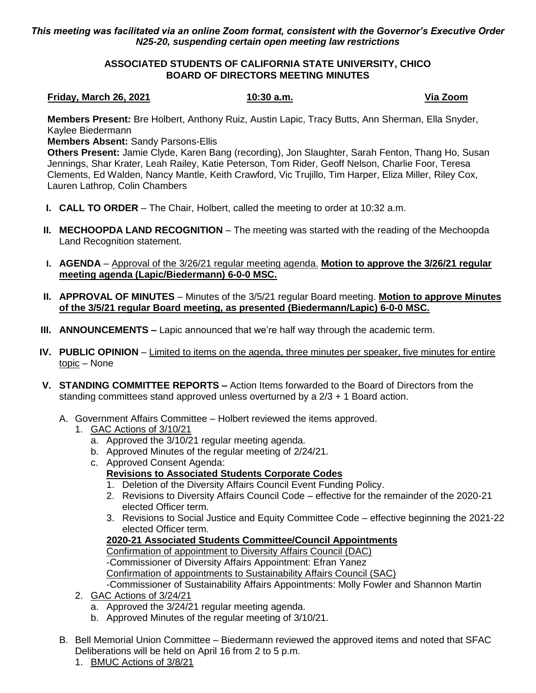## *This meeting was facilitated via an online Zoom format, consistent with the Governor's Executive Order N25-20, suspending certain open meeting law restrictions*

## **ASSOCIATED STUDENTS OF CALIFORNIA STATE UNIVERSITY, CHICO BOARD OF DIRECTORS MEETING MINUTES**

## **Friday, March 26, 2021 10:30 a.m. Via Zoom**

**Members Present:** Bre Holbert, Anthony Ruiz, Austin Lapic, Tracy Butts, Ann Sherman, Ella Snyder, Kaylee Biedermann

**Members Absent:** Sandy Parsons-Ellis

**Others Present:** Jamie Clyde, Karen Bang (recording), Jon Slaughter, Sarah Fenton, Thang Ho, Susan Jennings, Shar Krater, Leah Railey, Katie Peterson, Tom Rider, Geoff Nelson, Charlie Foor, Teresa Clements, Ed Walden, Nancy Mantle, Keith Crawford, Vic Trujillo, Tim Harper, Eliza Miller, Riley Cox, Lauren Lathrop, Colin Chambers

- **I. CALL TO ORDER** The Chair, Holbert, called the meeting to order at 10:32 a.m.
- **II. MECHOOPDA LAND RECOGNITION** The meeting was started with the reading of the Mechoopda Land Recognition statement.
- **I. AGENDA** Approval of the 3/26/21 regular meeting agenda. **Motion to approve the 3/26/21 regular meeting agenda (Lapic/Biedermann) 6-0-0 MSC.**
- **II. APPROVAL OF MINUTES** Minutes of the 3/5/21 regular Board meeting. **Motion to approve Minutes of the 3/5/21 regular Board meeting, as presented (Biedermann/Lapic) 6-0-0 MSC.**
- **III. ANNOUNCEMENTS –** Lapic announced that we're half way through the academic term.
- **IV. PUBLIC OPINION** Limited to items on the agenda, three minutes per speaker, five minutes for entire topic – None
- **V. STANDING COMMITTEE REPORTS –** Action Items forwarded to the Board of Directors from the standing committees stand approved unless overturned by a 2/3 + 1 Board action.
	- A. Government Affairs Committee Holbert reviewed the items approved.
		- 1. GAC Actions of 3/10/21
			- a. Approved the 3/10/21 regular meeting agenda.
			- b. Approved Minutes of the regular meeting of 2/24/21.
			- c. Approved Consent Agenda:

# **Revisions to Associated Students Corporate Codes**

- 1. Deletion of the Diversity Affairs Council Event Funding Policy.
- 2. Revisions to Diversity Affairs Council Code effective for the remainder of the 2020-21 elected Officer term.
- 3. Revisions to Social Justice and Equity Committee Code effective beginning the 2021-22 elected Officer term.

# **2020-21 Associated Students Committee/Council Appointments**

Confirmation of appointment to Diversity Affairs Council (DAC) -Commissioner of Diversity Affairs Appointment: Efran Yanez Confirmation of appointments to Sustainability Affairs Council (SAC)

-Commissioner of Sustainability Affairs Appointments: Molly Fowler and Shannon Martin

- 2. GAC Actions of 3/24/21
	- a. Approved the 3/24/21 regular meeting agenda.
	- b. Approved Minutes of the regular meeting of 3/10/21.
- B. Bell Memorial Union Committee Biedermann reviewed the approved items and noted that SFAC Deliberations will be held on April 16 from 2 to 5 p.m.
	- 1. BMUC Actions of 3/8/21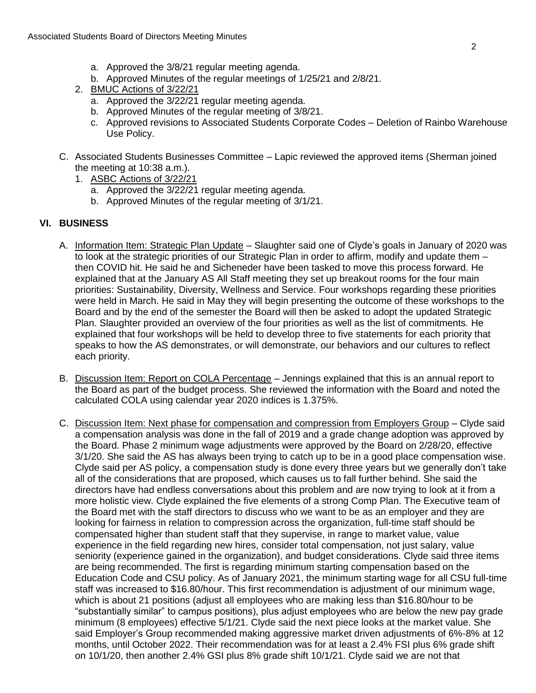- a. Approved the 3/8/21 regular meeting agenda.
- b. Approved Minutes of the regular meetings of 1/25/21 and 2/8/21.
- 2. BMUC Actions of 3/22/21
	- a. Approved the 3/22/21 regular meeting agenda.
	- b. Approved Minutes of the regular meeting of 3/8/21.
	- c. Approved revisions to Associated Students Corporate Codes Deletion of Rainbo Warehouse Use Policy.
- C. Associated Students Businesses Committee Lapic reviewed the approved items (Sherman joined the meeting at 10:38 a.m.).
	- 1. ASBC Actions of 3/22/21
		- a. Approved the 3/22/21 regular meeting agenda.
		- b. Approved Minutes of the regular meeting of 3/1/21.

# **VI. BUSINESS**

- A. Information Item: Strategic Plan Update Slaughter said one of Clyde's goals in January of 2020 was to look at the strategic priorities of our Strategic Plan in order to affirm, modify and update them – then COVID hit. He said he and Sicheneder have been tasked to move this process forward. He explained that at the January AS All Staff meeting they set up breakout rooms for the four main priorities: Sustainability, Diversity, Wellness and Service. Four workshops regarding these priorities were held in March. He said in May they will begin presenting the outcome of these workshops to the Board and by the end of the semester the Board will then be asked to adopt the updated Strategic Plan. Slaughter provided an overview of the four priorities as well as the list of commitments. He explained that four workshops will be held to develop three to five statements for each priority that speaks to how the AS demonstrates, or will demonstrate, our behaviors and our cultures to reflect each priority.
- B. Discussion Item: Report on COLA Percentage Jennings explained that this is an annual report to the Board as part of the budget process. She reviewed the information with the Board and noted the calculated COLA using calendar year 2020 indices is 1.375%.
- C. Discussion Item: Next phase for compensation and compression from Employers Group Clyde said a compensation analysis was done in the fall of 2019 and a grade change adoption was approved by the Board. Phase 2 minimum wage adjustments were approved by the Board on 2/28/20, effective 3/1/20. She said the AS has always been trying to catch up to be in a good place compensation wise. Clyde said per AS policy, a compensation study is done every three years but we generally don't take all of the considerations that are proposed, which causes us to fall further behind. She said the directors have had endless conversations about this problem and are now trying to look at it from a more holistic view. Clyde explained the five elements of a strong Comp Plan. The Executive team of the Board met with the staff directors to discuss who we want to be as an employer and they are looking for fairness in relation to compression across the organization, full-time staff should be compensated higher than student staff that they supervise, in range to market value, value experience in the field regarding new hires, consider total compensation, not just salary, value seniority (experience gained in the organization), and budget considerations. Clyde said three items are being recommended. The first is regarding minimum starting compensation based on the Education Code and CSU policy. As of January 2021, the minimum starting wage for all CSU full-time staff was increased to \$16.80/hour. This first recommendation is adjustment of our minimum wage, which is about 21 positions (adjust all employees who are making less than \$16.80/hour to be "substantially similar" to campus positions), plus adjust employees who are below the new pay grade minimum (8 employees) effective 5/1/21. Clyde said the next piece looks at the market value. She said Employer's Group recommended making aggressive market driven adjustments of 6%-8% at 12 months, until October 2022. Their recommendation was for at least a 2.4% FSI plus 6% grade shift on 10/1/20, then another 2.4% GSI plus 8% grade shift 10/1/21. Clyde said we are not that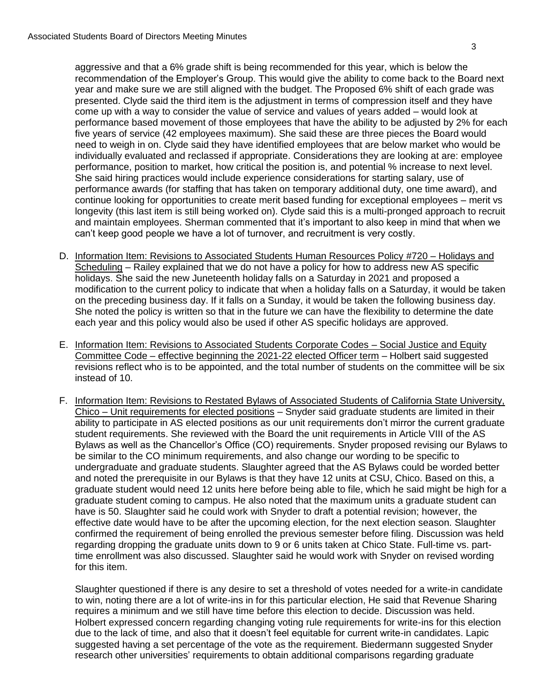aggressive and that a 6% grade shift is being recommended for this year, which is below the recommendation of the Employer's Group. This would give the ability to come back to the Board next year and make sure we are still aligned with the budget. The Proposed 6% shift of each grade was presented. Clyde said the third item is the adjustment in terms of compression itself and they have come up with a way to consider the value of service and values of years added – would look at performance based movement of those employees that have the ability to be adjusted by 2% for each five years of service (42 employees maximum). She said these are three pieces the Board would need to weigh in on. Clyde said they have identified employees that are below market who would be individually evaluated and reclassed if appropriate. Considerations they are looking at are: employee performance, position to market, how critical the position is, and potential % increase to next level. She said hiring practices would include experience considerations for starting salary, use of performance awards (for staffing that has taken on temporary additional duty, one time award), and continue looking for opportunities to create merit based funding for exceptional employees – merit vs longevity (this last item is still being worked on). Clyde said this is a multi-pronged approach to recruit and maintain employees. Sherman commented that it's important to also keep in mind that when we can't keep good people we have a lot of turnover, and recruitment is very costly.

- D. Information Item: Revisions to Associated Students Human Resources Policy #720 Holidays and Scheduling – Railey explained that we do not have a policy for how to address new AS specific holidays. She said the new Juneteenth holiday falls on a Saturday in 2021 and proposed a modification to the current policy to indicate that when a holiday falls on a Saturday, it would be taken on the preceding business day. If it falls on a Sunday, it would be taken the following business day. She noted the policy is written so that in the future we can have the flexibility to determine the date each year and this policy would also be used if other AS specific holidays are approved.
- E. Information Item: Revisions to Associated Students Corporate Codes Social Justice and Equity Committee Code – effective beginning the 2021-22 elected Officer term – Holbert said suggested revisions reflect who is to be appointed, and the total number of students on the committee will be six instead of 10.
- F. Information Item: Revisions to Restated Bylaws of Associated Students of California State University, Chico – Unit requirements for elected positions – Snyder said graduate students are limited in their ability to participate in AS elected positions as our unit requirements don't mirror the current graduate student requirements. She reviewed with the Board the unit requirements in Article VIII of the AS Bylaws as well as the Chancellor's Office (CO) requirements. Snyder proposed revising our Bylaws to be similar to the CO minimum requirements, and also change our wording to be specific to undergraduate and graduate students. Slaughter agreed that the AS Bylaws could be worded better and noted the prerequisite in our Bylaws is that they have 12 units at CSU, Chico. Based on this, a graduate student would need 12 units here before being able to file, which he said might be high for a graduate student coming to campus. He also noted that the maximum units a graduate student can have is 50. Slaughter said he could work with Snyder to draft a potential revision; however, the effective date would have to be after the upcoming election, for the next election season. Slaughter confirmed the requirement of being enrolled the previous semester before filing. Discussion was held regarding dropping the graduate units down to 9 or 6 units taken at Chico State. Full-time vs. parttime enrollment was also discussed. Slaughter said he would work with Snyder on revised wording for this item.

Slaughter questioned if there is any desire to set a threshold of votes needed for a write-in candidate to win, noting there are a lot of write-ins in for this particular election, He said that Revenue Sharing requires a minimum and we still have time before this election to decide. Discussion was held. Holbert expressed concern regarding changing voting rule requirements for write-ins for this election due to the lack of time, and also that it doesn't feel equitable for current write-in candidates. Lapic suggested having a set percentage of the vote as the requirement. Biedermann suggested Snyder research other universities' requirements to obtain additional comparisons regarding graduate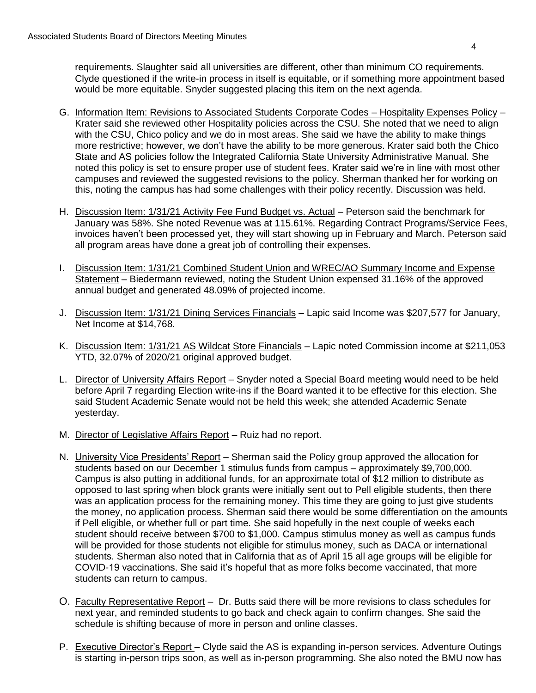requirements. Slaughter said all universities are different, other than minimum CO requirements. Clyde questioned if the write-in process in itself is equitable, or if something more appointment based would be more equitable. Snyder suggested placing this item on the next agenda.

- G. Information Item: Revisions to Associated Students Corporate Codes Hospitality Expenses Policy Krater said she reviewed other Hospitality policies across the CSU. She noted that we need to align with the CSU, Chico policy and we do in most areas. She said we have the ability to make things more restrictive; however, we don't have the ability to be more generous. Krater said both the Chico State and AS policies follow the Integrated California State University Administrative Manual. She noted this policy is set to ensure proper use of student fees. Krater said we're in line with most other campuses and reviewed the suggested revisions to the policy. Sherman thanked her for working on this, noting the campus has had some challenges with their policy recently. Discussion was held.
- H. Discussion Item: 1/31/21 Activity Fee Fund Budget vs. Actual Peterson said the benchmark for January was 58%. She noted Revenue was at 115.61%. Regarding Contract Programs/Service Fees, invoices haven't been processed yet, they will start showing up in February and March. Peterson said all program areas have done a great job of controlling their expenses.
- I. Discussion Item: 1/31/21 Combined Student Union and WREC/AO Summary Income and Expense Statement – Biedermann reviewed, noting the Student Union expensed 31.16% of the approved annual budget and generated 48.09% of projected income.
- J. Discussion Item: 1/31/21 Dining Services Financials Lapic said Income was \$207,577 for January, Net Income at \$14,768.
- K. Discussion Item: 1/31/21 AS Wildcat Store Financials Lapic noted Commission income at \$211,053 YTD, 32.07% of 2020/21 original approved budget.
- L. Director of University Affairs Report Snyder noted a Special Board meeting would need to be held before April 7 regarding Election write-ins if the Board wanted it to be effective for this election. She said Student Academic Senate would not be held this week; she attended Academic Senate yesterday.
- M. Director of Legislative Affairs Report Ruiz had no report.
- N. University Vice Presidents' Report Sherman said the Policy group approved the allocation for students based on our December 1 stimulus funds from campus – approximately \$9,700,000. Campus is also putting in additional funds, for an approximate total of \$12 million to distribute as opposed to last spring when block grants were initially sent out to Pell eligible students, then there was an application process for the remaining money. This time they are going to just give students the money, no application process. Sherman said there would be some differentiation on the amounts if Pell eligible, or whether full or part time. She said hopefully in the next couple of weeks each student should receive between \$700 to \$1,000. Campus stimulus money as well as campus funds will be provided for those students not eligible for stimulus money, such as DACA or international students. Sherman also noted that in California that as of April 15 all age groups will be eligible for COVID-19 vaccinations. She said it's hopeful that as more folks become vaccinated, that more students can return to campus.
- O. Faculty Representative Report Dr. Butts said there will be more revisions to class schedules for next year, and reminded students to go back and check again to confirm changes. She said the schedule is shifting because of more in person and online classes.
- P. Executive Director's Report Clyde said the AS is expanding in-person services. Adventure Outings is starting in-person trips soon, as well as in-person programming. She also noted the BMU now has